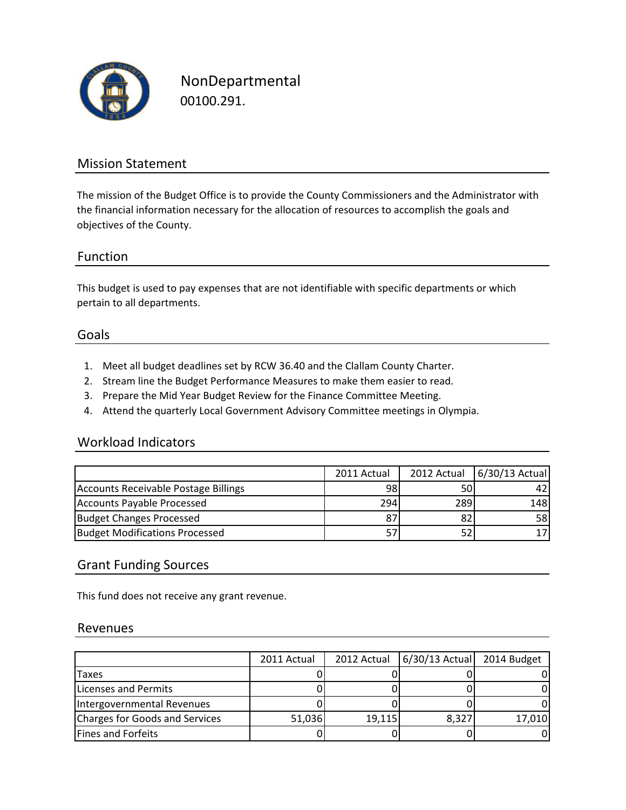

NonDepartmental 00100.291.

### Mission Statement

The mission of the Budget Office is to provide the County Commissioners and the Administrator with the financial information necessary for the allocation of resources to accomplish the goals and objectives of the County.

#### Function

This budget is used to pay expenses that are not identifiable with specific departments or which pertain to all departments.

#### Goals

- 1. Meet all budget deadlines set by RCW 36.40 and the Clallam County Charter.
- 2. Stream line the Budget Performance Measures to make them easier to read.
- 3. Prepare the Mid Year Budget Review for the Finance Committee Meeting.
- 4. Attend the quarterly Local Government Advisory Committee meetings in Olympia.

#### Workload Indicators

|                                       | 2011 Actual |     | 2012 Actual 6/30/13 Actual |
|---------------------------------------|-------------|-----|----------------------------|
| Accounts Receivable Postage Billings  | 98          | 50  |                            |
| Accounts Payable Processed            | 294         | 289 | 148I                       |
| <b>Budget Changes Processed</b>       | 87          | 82  | 58I                        |
| <b>Budget Modifications Processed</b> |             |     |                            |

#### Grant Funding Sources

This fund does not receive any grant revenue.

#### Revenues

|                                | 2011 Actual |        | 2012 Actual   6/30/13 Actual   2014 Budget |        |
|--------------------------------|-------------|--------|--------------------------------------------|--------|
| <b>Taxes</b>                   |             |        |                                            |        |
| Licenses and Permits           |             |        |                                            |        |
| Intergovernmental Revenues     |             |        |                                            |        |
| Charges for Goods and Services | 51,036      | 19,115 | 8,327                                      | 17,010 |
| Fines and Forfeits             |             |        |                                            |        |